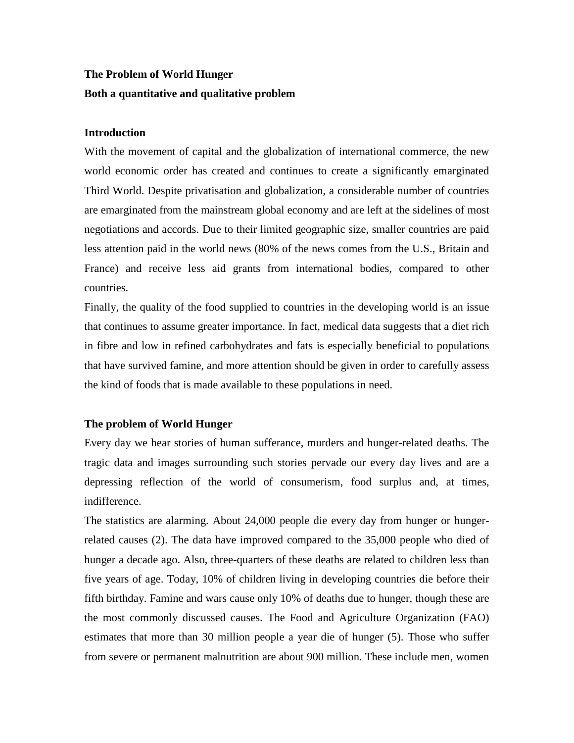# **The Problem of World Hunger Both a quantitative and qualitative problem**

## **Introduction**

With the movement of capital and the globalization of international commerce, the new world economic order has created and continues to create a significantly emarginated Third World. Despite privatisation and globalization, a considerable number of countries are emarginated from the mainstream global economy and are left at the sidelines of most negotiations and accords. Due to their limited geographic size, smaller countries are paid less attention paid in the world news (80% of the news comes from the U.S., Britain and France) and receive less aid grants from international bodies, compared to other countries.

Finally, the quality of the food supplied to countries in the developing world is an issue that continues to assume greater importance. In fact, medical data suggests that a diet rich in fibre and low in refined carbohydrates and fats is especially beneficial to populations that have survived famine, and more attention should be given in order to carefully assess the kind of foods that is made available to these populations in need.

## **The problem of World Hunger**

Every day we hear stories of human sufferance, murders and hunger-related deaths. The tragic data and images surrounding such stories pervade our every day lives and are a depressing reflection of the world of consumerism, food surplus and, at times, indifference.

The statistics are alarming. About 24,000 people die every day from hunger or hungerrelated causes (2). The data have improved compared to the 35,000 people who died of hunger a decade ago. Also, three-quarters of these deaths are related to children less than five years of age. Today, 10% of children living in developing countries die before their fifth birthday. Famine and wars cause only 10% of deaths due to hunger, though these are the most commonly discussed causes. The Food and Agriculture Organization (FAO) estimates that more than 30 million people a year die of hunger (5). Those who suffer from severe or permanent malnutrition are about 900 million. These include men, women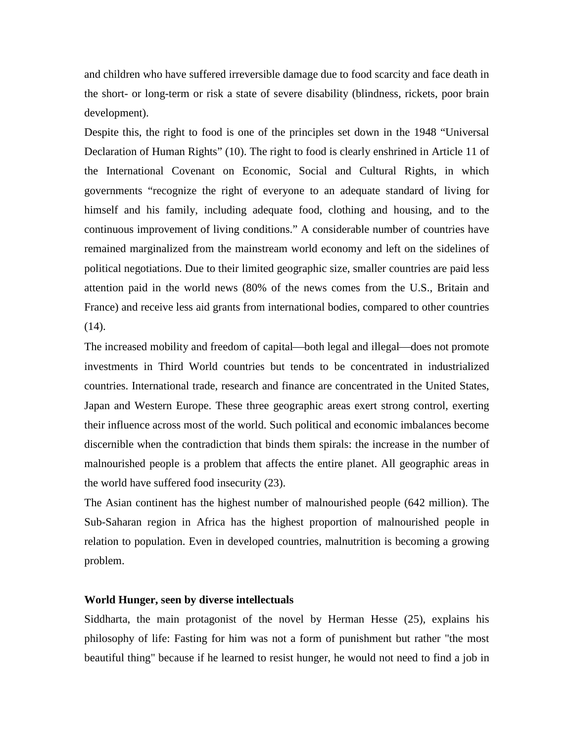and children who have suffered irreversible damage due to food scarcity and face death in the short- or long-term or risk a state of severe disability (blindness, rickets, poor brain development).

Despite this, the right to food is one of the principles set down in the 1948 "Universal Declaration of Human Rights" (10). The right to food is clearly enshrined in Article 11 of the International Covenant on Economic, Social and Cultural Rights, in which governments "recognize the right of everyone to an adequate standard of living for himself and his family, including adequate food, clothing and housing, and to the continuous improvement of living conditions." A considerable number of countries have remained marginalized from the mainstream world economy and left on the sidelines of political negotiations. Due to their limited geographic size, smaller countries are paid less attention paid in the world news (80% of the news comes from the U.S., Britain and France) and receive less aid grants from international bodies, compared to other countries  $(14)$ .

The increased mobility and freedom of capital—both legal and illegal—does not promote investments in Third World countries but tends to be concentrated in industrialized countries. International trade, research and finance are concentrated in the United States, Japan and Western Europe. These three geographic areas exert strong control, exerting their influence across most of the world. Such political and economic imbalances become discernible when the contradiction that binds them spirals: the increase in the number of malnourished people is a problem that affects the entire planet. All geographic areas in the world have suffered food insecurity (23).

The Asian continent has the highest number of malnourished people (642 million). The Sub-Saharan region in Africa has the highest proportion of malnourished people in relation to population. Even in developed countries, malnutrition is becoming a growing problem.

## **World Hunger, seen by diverse intellectuals**

Siddharta, the main protagonist of the novel by Herman Hesse (25), explains his philosophy of life: Fasting for him was not a form of punishment but rather "the most beautiful thing" because if he learned to resist hunger, he would not need to find a job in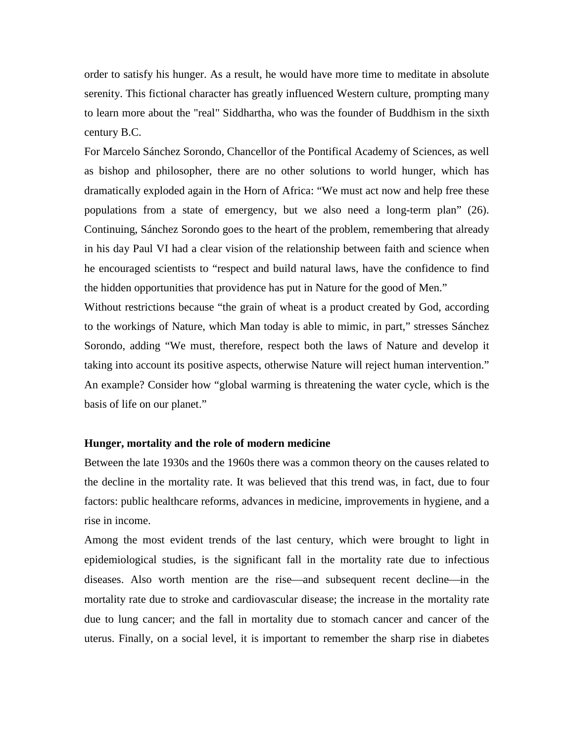order to satisfy his hunger. As a result, he would have more time to meditate in absolute serenity. This fictional character has greatly influenced Western culture, prompting many to learn more about the "real" Siddhartha, who was the founder of Buddhism in the sixth century B.C.

For Marcelo Sánchez Sorondo, Chancellor of the Pontifical Academy of Sciences, as well as bishop and philosopher, there are no other solutions to world hunger, which has dramatically exploded again in the Horn of Africa: "We must act now and help free these populations from a state of emergency, but we also need a long-term plan" (26). Continuing, Sánchez Sorondo goes to the heart of the problem, remembering that already in his day Paul VI had a clear vision of the relationship between faith and science when he encouraged scientists to "respect and build natural laws, have the confidence to find the hidden opportunities that providence has put in Nature for the good of Men."

Without restrictions because "the grain of wheat is a product created by God, according to the workings of Nature, which Man today is able to mimic, in part," stresses Sánchez Sorondo, adding "We must, therefore, respect both the laws of Nature and develop it taking into account its positive aspects, otherwise Nature will reject human intervention." An example? Consider how "global warming is threatening the water cycle, which is the basis of life on our planet."

#### **Hunger, mortality and the role of modern medicine**

Between the late 1930s and the 1960s there was a common theory on the causes related to the decline in the mortality rate. It was believed that this trend was, in fact, due to four factors: public healthcare reforms, advances in medicine, improvements in hygiene, and a rise in income.

Among the most evident trends of the last century, which were brought to light in epidemiological studies, is the significant fall in the mortality rate due to infectious diseases. Also worth mention are the rise—and subsequent recent decline—in the mortality rate due to stroke and cardiovascular disease; the increase in the mortality rate due to lung cancer; and the fall in mortality due to stomach cancer and cancer of the uterus. Finally, on a social level, it is important to remember the sharp rise in diabetes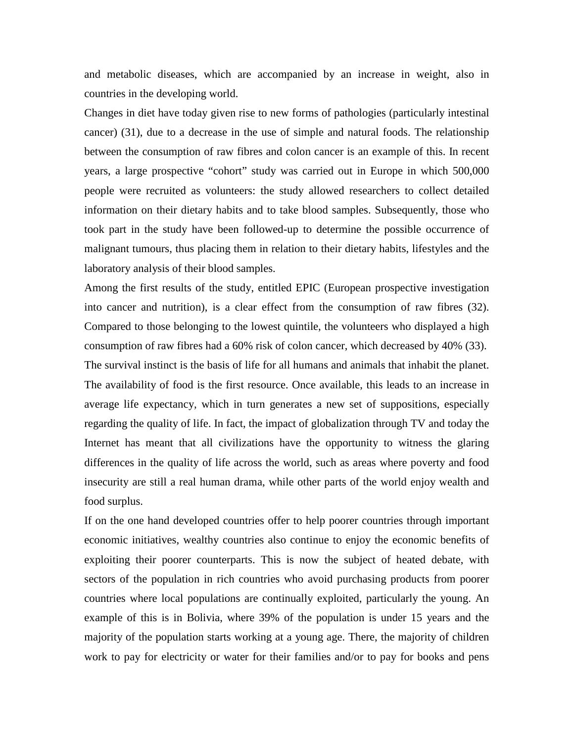and metabolic diseases, which are accompanied by an increase in weight, also in countries in the developing world.

Changes in diet have today given rise to new forms of pathologies (particularly intestinal cancer) (31), due to a decrease in the use of simple and natural foods. The relationship between the consumption of raw fibres and colon cancer is an example of this. In recent years, a large prospective "cohort" study was carried out in Europe in which 500,000 people were recruited as volunteers: the study allowed researchers to collect detailed information on their dietary habits and to take blood samples. Subsequently, those who took part in the study have been followed-up to determine the possible occurrence of malignant tumours, thus placing them in relation to their dietary habits, lifestyles and the laboratory analysis of their blood samples.

Among the first results of the study, entitled EPIC (European prospective investigation into cancer and nutrition), is a clear effect from the consumption of raw fibres (32). Compared to those belonging to the lowest quintile, the volunteers who displayed a high consumption of raw fibres had a 60% risk of colon cancer, which decreased by 40% (33). The survival instinct is the basis of life for all humans and animals that inhabit the planet. The availability of food is the first resource. Once available, this leads to an increase in average life expectancy, which in turn generates a new set of suppositions, especially regarding the quality of life. In fact, the impact of globalization through TV and today the Internet has meant that all civilizations have the opportunity to witness the glaring differences in the quality of life across the world, such as areas where poverty and food insecurity are still a real human drama, while other parts of the world enjoy wealth and food surplus.

If on the one hand developed countries offer to help poorer countries through important economic initiatives, wealthy countries also continue to enjoy the economic benefits of exploiting their poorer counterparts. This is now the subject of heated debate, with sectors of the population in rich countries who avoid purchasing products from poorer countries where local populations are continually exploited, particularly the young. An example of this is in Bolivia, where 39% of the population is under 15 years and the majority of the population starts working at a young age. There, the majority of children work to pay for electricity or water for their families and/or to pay for books and pens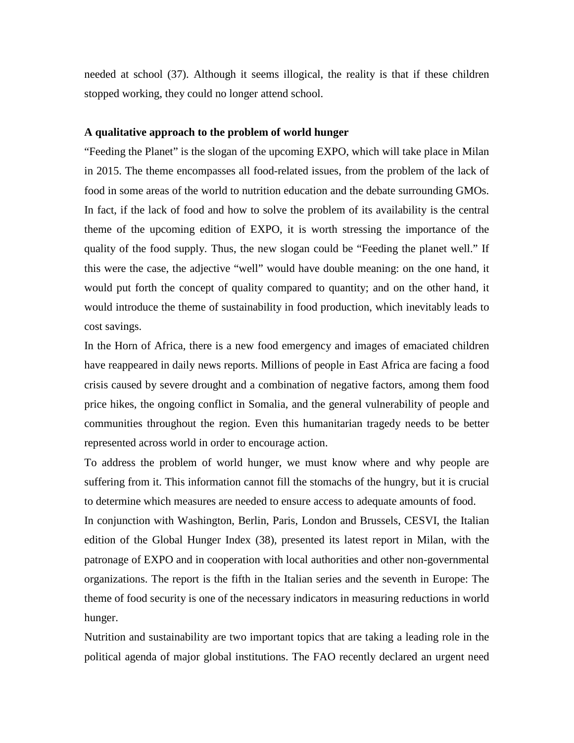needed at school (37). Although it seems illogical, the reality is that if these children stopped working, they could no longer attend school.

#### **A qualitative approach to the problem of world hunger**

"Feeding the Planet" is the slogan of the upcoming EXPO, which will take place in Milan in 2015. The theme encompasses all food-related issues, from the problem of the lack of food in some areas of the world to nutrition education and the debate surrounding GMOs. In fact, if the lack of food and how to solve the problem of its availability is the central theme of the upcoming edition of EXPO, it is worth stressing the importance of the quality of the food supply. Thus, the new slogan could be "Feeding the planet well." If this were the case, the adjective "well" would have double meaning: on the one hand, it would put forth the concept of quality compared to quantity; and on the other hand, it would introduce the theme of sustainability in food production, which inevitably leads to cost savings.

In the Horn of Africa, there is a new food emergency and images of emaciated children have reappeared in daily news reports. Millions of people in East Africa are facing a food crisis caused by severe drought and a combination of negative factors, among them food price hikes, the ongoing conflict in Somalia, and the general vulnerability of people and communities throughout the region. Even this humanitarian tragedy needs to be better represented across world in order to encourage action.

To address the problem of world hunger, we must know where and why people are suffering from it. This information cannot fill the stomachs of the hungry, but it is crucial to determine which measures are needed to ensure access to adequate amounts of food.

In conjunction with Washington, Berlin, Paris, London and Brussels, CESVI, the Italian edition of the Global Hunger Index (38), presented its latest report in Milan, with the patronage of EXPO and in cooperation with local authorities and other non-governmental organizations. The report is the fifth in the Italian series and the seventh in Europe: The theme of food security is one of the necessary indicators in measuring reductions in world hunger.

Nutrition and sustainability are two important topics that are taking a leading role in the political agenda of major global institutions. The FAO recently declared an urgent need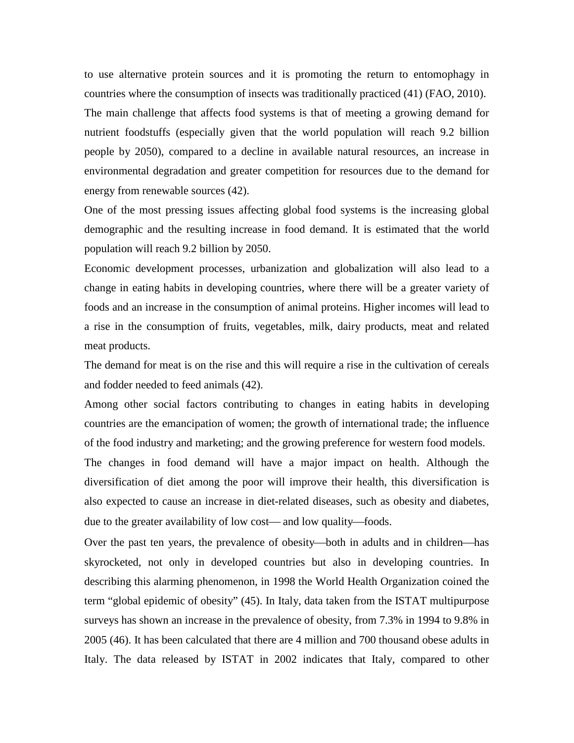to use alternative protein sources and it is promoting the return to entomophagy in countries where the consumption of insects was traditionally practiced (41) (FAO, 2010). The main challenge that affects food systems is that of meeting a growing demand for nutrient foodstuffs (especially given that the world population will reach 9.2 billion people by 2050), compared to a decline in available natural resources, an increase in environmental degradation and greater competition for resources due to the demand for energy from renewable sources (42).

One of the most pressing issues affecting global food systems is the increasing global demographic and the resulting increase in food demand. It is estimated that the world population will reach 9.2 billion by 2050.

Economic development processes, urbanization and globalization will also lead to a change in eating habits in developing countries, where there will be a greater variety of foods and an increase in the consumption of animal proteins. Higher incomes will lead to a rise in the consumption of fruits, vegetables, milk, dairy products, meat and related meat products.

The demand for meat is on the rise and this will require a rise in the cultivation of cereals and fodder needed to feed animals (42).

Among other social factors contributing to changes in eating habits in developing countries are the emancipation of women; the growth of international trade; the influence of the food industry and marketing; and the growing preference for western food models. The changes in food demand will have a major impact on health. Although the diversification of diet among the poor will improve their health, this diversification is also expected to cause an increase in diet-related diseases, such as obesity and diabetes, due to the greater availability of low cost—and low quality—foods.

Over the past ten years, the prevalence of obesity—both in adults and in children—has skyrocketed, not only in developed countries but also in developing countries. In describing this alarming phenomenon, in 1998 the World Health Organization coined the term "global epidemic of obesity" (45). In Italy, data taken from the ISTAT multipurpose surveys has shown an increase in the prevalence of obesity, from 7.3% in 1994 to 9.8% in 2005 (46). It has been calculated that there are 4 million and 700 thousand obese adults in Italy. The data released by ISTAT in 2002 indicates that Italy, compared to other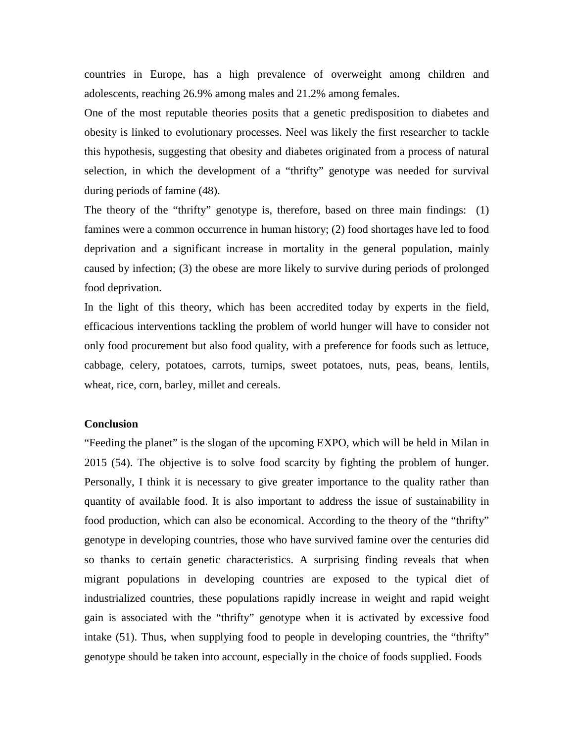countries in Europe, has a high prevalence of overweight among children and adolescents, reaching 26.9% among males and 21.2% among females.

One of the most reputable theories posits that a genetic predisposition to diabetes and obesity is linked to evolutionary processes. Neel was likely the first researcher to tackle this hypothesis, suggesting that obesity and diabetes originated from a process of natural selection, in which the development of a "thrifty" genotype was needed for survival during periods of famine (48).

The theory of the "thrifty" genotype is, therefore, based on three main findings: (1) famines were a common occurrence in human history; (2) food shortages have led to food deprivation and a significant increase in mortality in the general population, mainly caused by infection; (3) the obese are more likely to survive during periods of prolonged food deprivation.

In the light of this theory, which has been accredited today by experts in the field, efficacious interventions tackling the problem of world hunger will have to consider not only food procurement but also food quality, with a preference for foods such as lettuce, cabbage, celery, potatoes, carrots, turnips, sweet potatoes, nuts, peas, beans, lentils, wheat, rice, corn, barley, millet and cereals.

#### **Conclusion**

"Feeding the planet" is the slogan of the upcoming EXPO, which will be held in Milan in 2015 (54). The objective is to solve food scarcity by fighting the problem of hunger. Personally, I think it is necessary to give greater importance to the quality rather than quantity of available food. It is also important to address the issue of sustainability in food production, which can also be economical. According to the theory of the "thrifty" genotype in developing countries, those who have survived famine over the centuries did so thanks to certain genetic characteristics. A surprising finding reveals that when migrant populations in developing countries are exposed to the typical diet of industrialized countries, these populations rapidly increase in weight and rapid weight gain is associated with the "thrifty" genotype when it is activated by excessive food intake (51). Thus, when supplying food to people in developing countries, the "thrifty" genotype should be taken into account, especially in the choice of foods supplied. Foods